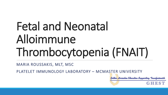# Fetal and Neonatal Alloimmune Thrombocytopenia (FNAIT)

MARIA ROUSSAKIS, MLT, MSC

PLATELET IMMUNOLOGY LABORATORY – MCMASTER UNIVERSITY

Golden Horseshoe Education Supporting Transfusionists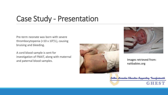### Case Study - Presentation

Pre-term neonate was born with severe thrombocytopenia (<10 x  $10^9$ /L), causing bruising and bleeding.

A cord blood sample is sent for investigation of FNAIT, along with maternal and paternal blood samples. In a set of the sample of the same set of the same set of the same set of the same set of the same set of the same set of the same set of the same set of the same set of the same set of the same





naitbabies.org



GHEST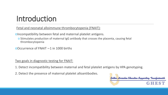### Introduction

Fetal and neonatal alloimmune thrombocytopenia (FNAIT):

oIncompatibility between fetal and maternal platelet antigens.

o Stimulates production of maternal IgG antibody that crosses the placenta, causing fetal thrombocytopenia

oOccurrence of FNAIT ∼1 in 1000 births

Two goals in diagnostic testing for FNAIT:

1. Detect incompatibility between maternal and fetal platelet antigens by HPA genotyping.

2. Detect the presence of maternal platelet alloantibodies.

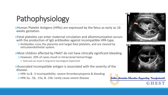## Pathophysiology

- oHuman Platelet Antigens (HPAs) are expressed by the fetus as early as 16 weeks gestation.
- oFetal platelets can enter maternal circulation and alloimmunization occurs with the production of IgG antibodies against incompatible HPA type. o Antibodies cross the placenta and target fetal platelets, and are cleared by reticuloendothelial system.
- oMost children affected by FNAIT do not have clinically significant bleeding. o However, 20% of cases result in intracranial hemorrhage
	- o Fatal and can result in long-term neurological impairment
- oAssociated incompatible antigen is associated with the severity of the disease.
	- o HPA-1a & -3 incompatibility: severe thrombocytopenia & bleeding
	- o HPA-5a, -5b, -15a, & -15b: rarely cause severe disease





Golden Horseshoe Education Supporting Transfusionists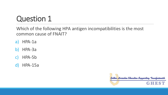### Question 1

Which of the following HPA antigen incompatibilities is the most common cause of FNAIT?

- a) HPA-1a
- b) HPA-3a
- c) HPA-5b
- d) HPA-15a

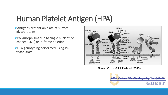## Human Platelet Antigen (HPA)

oAntigens present on platelet surface glycoproteins.

oPolymorphisms due to single nucleotide change (SNP) or in-frame deletion.

oHPA genotyping performed using **PCR techniques**



Figure: Curtis & McFarland (2013)

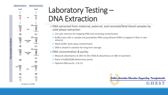

Fully automatable on the QIAcub

### Laboratory Testing – DNA Extraction

- o DNA extracted from maternal, paternal, and neonatal/fetal blood samples by solid phase extraction
	- o Use spin columns for trapping DNA and removing contaminants
	- o Buffers lyse cells in sample and precipitate DNA using ethanol (DNA is trapped in filter in spin column)
	- o Wash buffer wash away contaminants
	- o DNA is eluted in solution for long-term storage
- o DNA concentration & purity:
	- o Measure absorbance at 260 nm (for DNA) & absorbance at 280 nm (protein)
	- o Ratio of A260/A280 determines purity
	- o Optimal DNA purity: 1.8-2.0

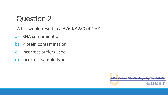### Question 2

What would result in a A260/A280 of 1.6?

- a) RNA contamination
- b) Protein contamination
- c) Incorrect buffers used
- d) Incorrect sample type

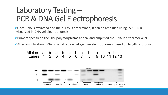### Laboratory Testing – PCR & DNA Gel Electrophoresis

oOnce DNA is extracted and the purity is determined, it can be amplified using SSP-PCR & visualized in DNA gel electrophoresis.

oPrimers specific to the HPA polymorphisms anneal and amplified the DNA in a thermocycler

oAfter amplification, DNA is visualized on gel agarose electrophoresis based on length of product

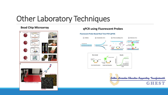### Other Laboratory Techniques



### **Bead Chip Microarray by Equation 2 A POS 49 and Chip Microarray qPCR using Fluorescent Probes**

#### **Fluorescent Probe-Based Real Time PCR (qPCR)**



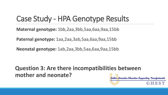### Case Study - HPA Genotype Results

**Maternal genotype:** 1bb,2aa,3bb,5aa,6aa,9aa,15bb

**Paternal genotype:** 1aa,2aa,3ab,5aa,6aa,9aa,15bb

**Neonatal genotype:** 1ab,2aa,3bb,5aa,6aa,9aa,15bb

### **Question 3: Are there incompatibilities between mother and neonate?**Golden Horseshoe Education Supporting Transfusionist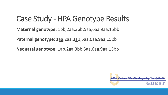### Case Study - HPA Genotype Results

**Maternal genotype:** 1bb,2aa,3bb,5aa,6aa,9aa,15bb

**Paternal genotype:** 1aa,2aa,3ab,5aa,6aa,9aa,15bb

**Neonatal genotype:** 1ab,2aa,3bb,5aa,6aa,9aa,15bb

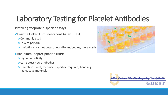### Laboratory Testing for Platelet Antibodies

Platelet glycoprotein-specific assays

oEnzyme Linked Immunosorbent Assay (ELISA):

o Commonly used

o Easy to perform

o Limitations: cannot detect new HPA antibodies, more costly

oRadioimmunoprecipitation (RIP):

o Higher sensitivity

o Can detect new antibodies

o Limitations: cost, technical expertise required, handling radioactive materials



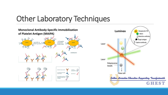### Other Laboratory Techniques



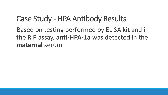### Case Study - HPA Antibody Results

Based on testing performed by ELISA kit and in the RIP assay, **anti-HPA-1a** was detected in the **maternal** serum.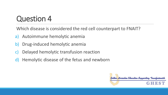### Question 4

Which disease is considered the red cell counterpart to FNAIT?

- a) Autoimmune hemolytic anemia
- b) Drug-induced hemolytic anemia
- c) Delayed hemolytic transfusion reaction
- d) Hemolytic disease of the fetus and newborn

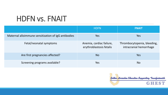### HDFN vs. FNAIT

|                                                     | <b>HDFN</b>                                          | <b>FNAIT</b>                                           |
|-----------------------------------------------------|------------------------------------------------------|--------------------------------------------------------|
| Maternal alloimmune sensitization of IgG antibodies | Yes                                                  | Yes                                                    |
| Fetal/neonatal symptoms                             | Anemia, cardiac failure,<br>erythroblastosis fetalis | Thrombocytopenia, bleeding,<br>intracranial hemorrhage |
| Are first pregnancies affected?                     | <b>No</b>                                            | Yes                                                    |
| Screening programs available?                       | Yes                                                  | <b>No</b>                                              |

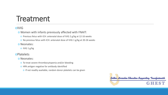### Treatment

#### oIVIG

- o Women with infants previously affected with FNAIT:
	- o Previous fetus with ICH: antenatal dose of IVIG 2 g/kg at 12-16 weeks
	- o No previous fetus with ICH: antenatal dose of IVIG 1 g/kg at 20-26 weeks
- o Neonates:
	- o IVIG 1 g/kg

#### oPlatelets

#### o Neonates:

- o To treat severe thrombocytopenia and/or bleeding
- o HPA antigen negative for antibody identified
	- o If not readily available, random donor platelets can be given

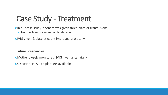### Case Study - Treatment

oIn our case study, neonate was given three platelet transfusions

◦ Not much improvement in platelet count

oIVIG given & platelet count improved drastically

**Future pregnancies:**

- oMother closely monitored: IVIG given antenatally
- oC-section: HPA-1bb platelets available